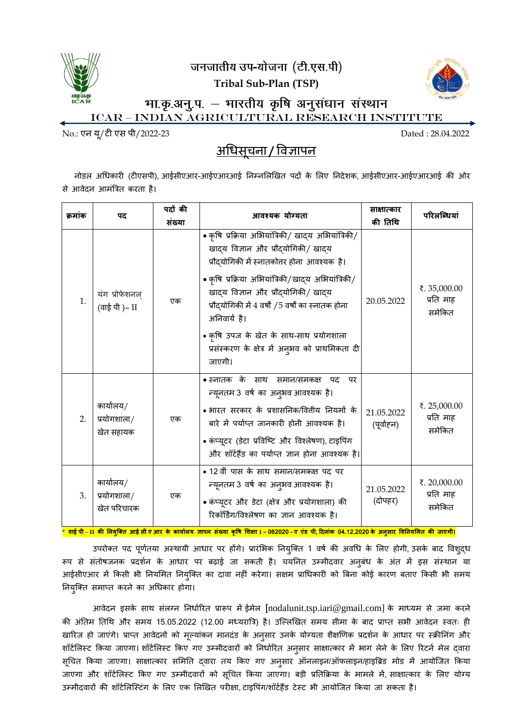

जनजातीय उप-योजना (टी.एस.पी)



**Tribal Sub-Plan (TSP)**

भा.कृ.अनु.प. – भारतीय कृषि अनुसंधान संस्थान ICAR – Indian Agricultural Research institute

No.: एन यू/टी एस पी/2022-23 Dated : 28.04.2022

# <u>अधिसूचना / विज्ञापन</u>

नोडल अधिकारी (टीएसपी), आईसीएआर-आईएआरआई ननम्नललखित पदों के ललए ननदेशक, आईसीएआर-आईएआरआई की ओर से आिेदन आमंत्रित करता है।

| क्रमांक | पद                                      | पदों की<br>संख्या | आवश्यक योग्यता                                                                                                                                                                                                                                                                                                                                                                                                | साक्षात्कार<br>की तिथि   | परिलब्धियां                         |
|---------|-----------------------------------------|-------------------|---------------------------------------------------------------------------------------------------------------------------------------------------------------------------------------------------------------------------------------------------------------------------------------------------------------------------------------------------------------------------------------------------------------|--------------------------|-------------------------------------|
| 1.      | यंग प्रोफेशनल्<br>(वाई पी )– II         | एक                | • कृषि प्रक्रिया अभियांत्रिकी/ खाद्य अभियांत्रिकी/<br>खादय विज्ञान और प्रौदयोगिकी/ खादय<br>प्रौदयोगिकी में स्नातकोत्तर होना आवश्यक है।<br>• कृषि प्रक्रिया अभियांत्रिकी/खादय अभियांत्रिकी/<br>खादय विज्ञान और प्रौदयोगिकी/ खादय<br>प्रौदयोगिकी में 4 वर्षों /5 वर्षों का स्नातक होना<br>अनिवार्य है।<br>• कृषि उपज के खेत के साथ-साथ प्रयोगशाला<br>प्रसंस्करण के क्षेत्र में अनुभव को प्राथमिकता दी<br>जाएगी। | 20.05.2022               | ₹.35,000.00<br>प्रति माह<br>समेकित  |
| 2.      | कार्यालय/<br>प्रयोगशाला/<br>खेत सहायक   | एक                | • स्नातक के साथ समान/समकक्ष<br>पद<br>पर<br>न्यूनतम 3 वर्ष का अनुभव आवश्यक है।<br>• भारत सरकार के प्रशासनिक/वितीय नियमों के<br>बारे में पर्याप्त जानकारी होनी आवश्यक है।<br>• कंप्यूटर (डेटा प्रविष्टि और विश्लेषण), टाइपिंग<br>और शॉर्टहैंड का पर्याप्त ज्ञान होना आवश्यक है।                                                                                                                                 | 21.05.2022<br>(पूर्वाहन) | ₹. 25,000.00<br>प्रति माह<br>समेकित |
| 3.      | कार्यालय/<br>प्रयोगशाला/<br>खेत परिचारक | एक                | • 12 वीं पास के साथ समान/समकक्ष पद पर<br>न्यूनतम 3 वर्ष का अनुभव आवश्यक है।<br>• कंप्यूटर और डेटा (क्षेत्र और प्रयोगशाला) की<br>रिकॉर्डिंग/विश्लेषण का ज्ञान आवश्यक है।                                                                                                                                                                                                                                       | 21.05.2022<br>(दोपहर)    | ₹. 20,000.00<br>प्रति माह<br>समेकित |

वाई पी – II की नियुक्ति आई सी ए आर के कार्यालय जापन संख्या कृषि शिक्षा 1 – 062020 - ए एंड पी, दिनांक 04.12.2020 के अनुसार विनियमित की जाएगी।

उपरोक्त पद पूर्णतया अस्थायी आधार पर होंगे। प्रारंभिक नियुक्ति 1 वर्ष की अवधि के लिए होगी, उसके बाद विशुद्ध रूप से संतोषजनक प्रदर्शन के आधार पर बढ़ाई जा सकती है। चयनित उम्मीदवार अनुबंध के अंत में इस संस्थान या आईसीएआर में किसी भी नियमित नियुक्ति का दावा नहीं करेगा। सक्षम प्राधिकारी को बिना कोई कारण बताए किसी भी समय ननयुष्क्त समाप्त करने का अधिकार होगा।

आवेदन इसके साथ संलग्न निर्धारित प्रारूप में ईमेल [nodalunit.tsp.iari@gmail.com] के माध्यम से जमा करने की अंतिम तिथि और समय 15.05.2022 (12.00 मध्यरात्रि) है। उल्लिखित समय सीमा के बाद प्राप्त सभी आवेदन स्वतः ही खारिज हो जाएंगे। प्राप्त आवेदनों को मूल्यांकन मानदंड के अनुसार उनके योग्यता शैक्षणिक प्रदर्शन के आधार पर स्क्रीनिंग और शॉर्टलिस्ट किया जाएगा। शॉर्टलिस्ट किए गए उम्मीदवारों को निर्धारित अनुसार साक्षात्कार में भाग लेने के लिए रिटर्न मेल द्वारा सूचित किया जाएगा। साक्षात्कार समिति द्वारा तय किए गए अनुसार ऑनलाइन/ऑफलाइन/हाइब्रिड मोड में आयोजित किया जाएगा और शॉर्टलिस्ट किए गए उम्मीदवारों को सूचित किया जाएगा। बड़ी प्रतिक्रिया के मामले में, साक्षात्कार के लिए योग्य उम्मीदवारों की शॉर्टलिस्टिंग के लिए एक लिखित परीक्षा, टाइपिंग/शॉर्टहैंड टेस्ट भी आयोजित किया जा सकता है।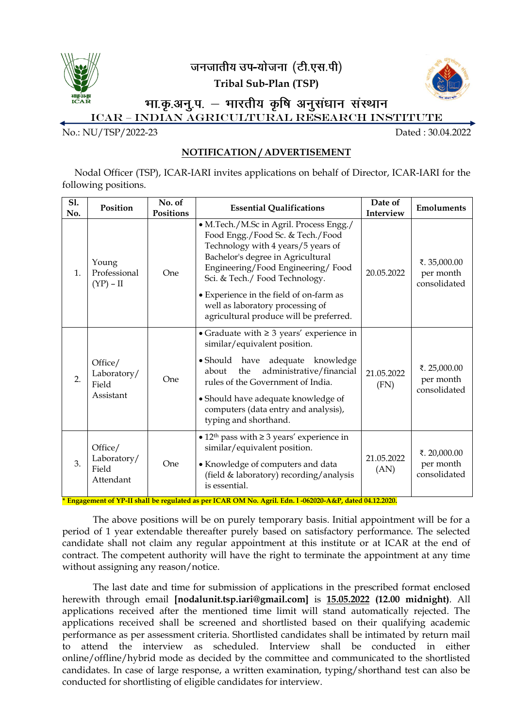

जनजातीय उप<del>-</del>योजना *(टी.एस.पी*)

**Tribal Sub-Plan (TSP)**



### भा.कृ.अनु.प. - भारतीय कृषि अनुसंधान संस्थान ICAR – Indian Agricultural Research institute

No.: NU/TSP/2022-23 Dated : 30.04.2022

### **NOTIFICATION / ADVERTISEMENT**

Nodal Officer (TSP), ICAR-IARI invites applications on behalf of Director, ICAR-IARI for the following positions.

| S1.<br>No. | Position                                     | No. of<br><b>Positions</b> | <b>Essential Qualifications</b>                                                                                                                                                                                                                                                                                                                         | Date of<br>Interview | <b>Emoluments</b>                         |
|------------|----------------------------------------------|----------------------------|---------------------------------------------------------------------------------------------------------------------------------------------------------------------------------------------------------------------------------------------------------------------------------------------------------------------------------------------------------|----------------------|-------------------------------------------|
| 1.         | Young<br>Professional<br>$(YP) - II$         | One                        | • M.Tech./M.Sc in Agril. Process Engg./<br>Food Engg./Food Sc. & Tech./Food<br>Technology with 4 years/5 years of<br>Bachelor's degree in Agricultural<br>Engineering/Food Engineering/Food<br>Sci. & Tech./ Food Technology.<br>• Experience in the field of on-farm as<br>well as laboratory processing of<br>agricultural produce will be preferred. | 20.05.2022           | ₹.35,000.00<br>per month<br>consolidated  |
| 2.         | Office/<br>Laboratory/<br>Field<br>Assistant | One                        | • Graduate with $\geq 3$ years' experience in<br>similar/equivalent position.<br>· Should have adequate knowledge<br>administrative/financial<br>about<br>the<br>rules of the Government of India.<br>• Should have adequate knowledge of<br>computers (data entry and analysis),<br>typing and shorthand.                                              | 21.05.2022<br>(FN)   | ₹. 25,000.00<br>per month<br>consolidated |
| 3.         | Office/<br>Laboratory/<br>Field<br>Attendant | One                        | • $12th$ pass with $\geq 3$ years' experience in<br>similar/equivalent position.<br>• Knowledge of computers and data<br>(field & laboratory) recording/analysis<br>is essential.<br>* Engagement of VP II shall be regulated as nor $ICADOMN_0$ , Agril, Edn. 1, 062020, A & D, dated 04.12.2020                                                       | 21.05.2022<br>(AN)   | ₹. 20,000.00<br>per month<br>consolidated |

**\* Engagement of YP-II shall be regulated as per ICAR OM No. Agril. Edn. l -062020-A&P, dated 04.12.2020.**

The above positions will be on purely temporary basis. Initial appointment will be for a period of 1 year extendable thereafter purely based on satisfactory performance. The selected candidate shall not claim any regular appointment at this institute or at ICAR at the end of contract. The competent authority will have the right to terminate the appointment at any time without assigning any reason/notice.

The last date and time for submission of applications in the prescribed format enclosed herewith through email **[nodalunit.tsp.iari@gmail.com]** is **15.05.2022 (12.00 midnight)**. All applications received after the mentioned time limit will stand automatically rejected. The applications received shall be screened and shortlisted based on their qualifying academic performance as per assessment criteria. Shortlisted candidates shall be intimated by return mail to attend the interview as scheduled. Interview shall be conducted in either online/offline/hybrid mode as decided by the committee and communicated to the shortlisted candidates. In case of large response, a written examination, typing/shorthand test can also be conducted for shortlisting of eligible candidates for interview.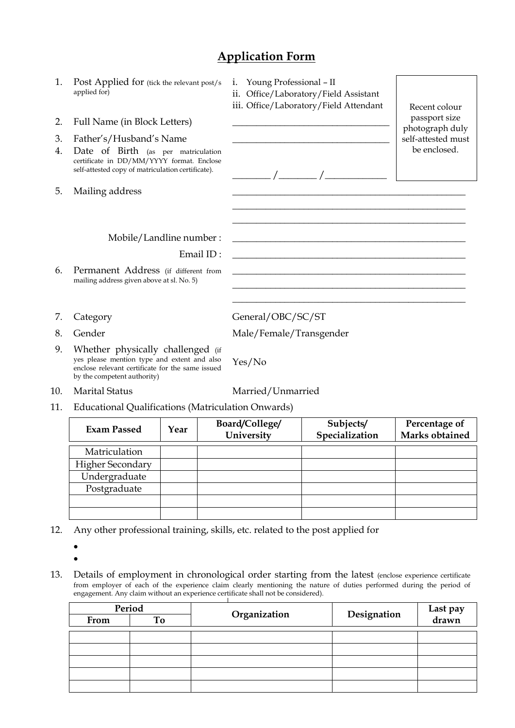## **Application Form**

- 1. Post Applied for (tick the relevant post/s applied for)
- 2. Full Name (in Block Letters)
- 3. Father's/Husband's Name
- 4. Date of Birth (as per matriculation certificate in DD/MM/YYYY format. Enclose self-attested copy of matriculation certificate). \_\_\_\_\_\_\_\_ /\_\_\_\_\_\_\_\_ /\_\_\_\_\_\_\_\_\_\_\_\_\_
- 5. Mailing address

i. Young Professional – II

ii. Office/Laboratory/Field Assistant

iii. Office/Laboratory/Field Attendant | Recent colour

\_\_\_\_\_\_\_\_\_\_\_\_\_\_\_\_\_\_\_\_\_\_\_\_\_\_\_\_\_\_\_\_\_\_\_\_\_\_\_\_\_\_\_\_\_\_\_\_\_ \_\_\_\_\_\_\_\_\_\_\_\_\_\_\_\_\_\_\_\_\_\_\_\_\_\_\_\_\_\_\_\_\_\_\_\_\_\_\_\_\_\_\_\_\_\_\_\_\_

\_\_\_\_\_\_\_\_\_\_\_\_\_\_\_\_\_\_\_\_\_\_\_\_\_\_\_\_\_\_\_\_\_\_\_\_\_\_\_\_\_\_\_\_\_\_\_\_\_ \_\_\_\_\_\_\_\_\_\_\_\_\_\_\_\_\_\_\_\_\_\_\_\_\_\_\_\_\_\_\_\_\_\_\_\_\_\_\_\_\_\_\_\_\_\_\_\_\_ \_\_\_\_\_\_\_\_\_\_\_\_\_\_\_\_\_\_\_\_\_\_\_\_\_\_\_\_\_\_\_\_\_\_\_\_\_\_\_\_\_\_\_\_\_\_\_\_\_

passport size photograph duly self-attested must be enclosed.

Mobile/Landline number :

Email ID:

- 6. Permanent Address (if different from mailing address given above at sl. No. 5)
- 
- 
- 9. Whether physically challenged (if yes please mention type and extent and also enclose relevant certificate for the same issued by the competent authority)
- 10. Marital Status Married/Unmarried
- 11. Educational Qualifications (Matriculation Onwards)

| <b>Exam Passed</b>      | Year | Board/College/<br>University | Subjects/<br>Specialization | Percentage of<br>Marks obtained |
|-------------------------|------|------------------------------|-----------------------------|---------------------------------|
| Matriculation           |      |                              |                             |                                 |
|                         |      |                              |                             |                                 |
| <b>Higher Secondary</b> |      |                              |                             |                                 |
| Undergraduate           |      |                              |                             |                                 |
| Postgraduate            |      |                              |                             |                                 |
|                         |      |                              |                             |                                 |
|                         |      |                              |                             |                                 |

- 12. Any other professional training, skills, etc. related to the post applied for
	- $\bullet$  $\bullet$
- 13. Details of employment in chronological order starting from the latest (enclose experience certificate from employer of each of the experience claim clearly mentioning the nature of duties performed during the period of engagement. Any claim without an experience certificate shall not be considered).

| Period |    | Organization | Designation | Last pay<br>drawn |
|--------|----|--------------|-------------|-------------------|
| From   | To |              |             |                   |
|        |    |              |             |                   |
|        |    |              |             |                   |
|        |    |              |             |                   |
|        |    |              |             |                   |
|        |    |              |             |                   |
|        |    |              |             |                   |

7. Category General/OBC/SC/ST

8. Gender Male/Female/Transgender

Yes/No